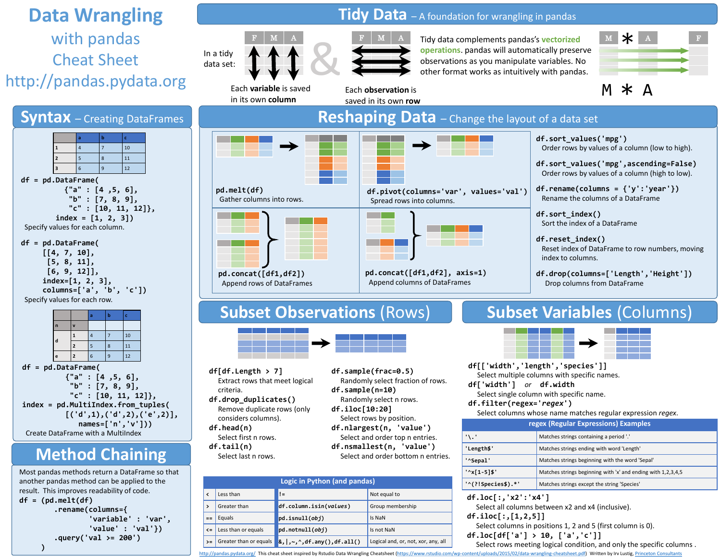# **Data Wrangling** with pandas Cheat Sheet http://pandas.pydata.org



another pandas method can be applied to the result. This improves readability of code. **df = (pd.melt(df) .rename(columns={ 'variable' : 'var', 'value' : 'val'}) .query('val >= 200') )**

# Tidy Data - A foundation for wrangling in pandas



Each **variable** is saved in its own **column**



Each **observation** is saved in its own **row**

Tidy data complements pandas's **vectorized operations**. pandas will automatically preserve observations as you manipulate variables. No other format works as intuitively with pandas.



 $M * A$ 

**Reshaping Data** – Change the layout of a data set **df.sort\_values('mpg')** Order rows by values of a column (low to high). **df.sort\_values('mpg',ascending=False)** Order rows by values of a column (high to low). **df.rename(columns = {'y':'year'}) pd.melt(df) df.pivot(columns='var', values='val')** Rename the columns of a DataFrame Gather columns into rows. Spread rows into columns. **df.sort\_index()** Sort the index of a DataFrame **df.reset\_index() I** The Sec Reset index of DataFrame to row numbers, moving index to columns. **pd.concat([df1,df2]) pd.concat([df1,df2], axis=1) df.drop(columns=['Length','Height'])** Append columns of DataFrames Append rows of DataFrames Drop columns from DataFrame

# **Subset Observations (Rows) Subset Variables (Columns)**



- **df[df.Length > 7]** Extract rows that meet logical criteria. **df.drop\_duplicates()** Remove duplicate rows (only
- considers columns). **df.head(n)** Select first n rows. **df.tail(n)**
- Select last n rows.
- **df.sample(frac=0.5)** Randomly select fraction of rows. **df.sample(n=10)** Randomly select n rows.
- **df.iloc[10:20]**
- Select rows by position. **df.nlargest(n, 'value')** Select and order top n entries. **df.nsmallest(n, 'value')**
- Select and order bottom n entries.

| Logic in Python (and pandas) |                        |                                                               |                                     |
|------------------------------|------------------------|---------------------------------------------------------------|-------------------------------------|
| ≺                            | Less than              | $!=$                                                          | Not equal to                        |
| $\mathbf{r}$                 | Greater than           | df.column.isin(values)                                        | Group membership                    |
| $==$                         | Equals                 | $p$ d.isnull $(obj)$                                          | Is NaN                              |
| $\leq$                       | Less than or equals    | pd.notnull(obj)                                               | Is not NaN                          |
| $>=$                         | Greater than or equals | $\left[ \alpha, \right , \sim, \land, df . any(), df . all()$ | Logical and, or, not, xor, any, all |



**df[['width','length','species']]** Select multiple columns with specific names.

**df['width']** *or* **df.width**

Select single column with specific name.

**df.filter(regex='***regex***')**

Select columns whose name matches regular expression *regex*.

| regex (Regular Expressions) Examples |                                                              |  |
|--------------------------------------|--------------------------------------------------------------|--|
| $\cdot \cdot$                        | Matches strings containing a period '.'                      |  |
| 'Length\$'                           | Matches strings ending with word 'Length'                    |  |
| '^Sepal'                             | Matches strings beginning with the word 'Sepal'              |  |
| $'\^x$   1-5   \$'                   | Matches strings beginning with 'x' and ending with 1,2,3,4,5 |  |
| $"\$ (?!Species\$).*'                | Matches strings except the string 'Species'                  |  |

**df.loc[:,'x2':'x4']**

Select all columns between x2 and x4 (inclusive).

- **df.iloc[:,[1,2,5]]**
	- Select columns in positions 1, 2 and 5 (first column is 0).
- **df.loc[df['a'] > 10, ['a','c']]**

<http://pandas.pydata.org/> This cheat sheet inspired by Rstudio Data Wrangling Cheatsheet ([https://www.rstudio.com/wp-content/uploads/2015/02/data-wrangling-cheatsheet.pdf\)](https://www.rstudio.com/wp-content/uploads/2015/02/data-wrangling-cheatsheet.pdf) Written by Irv Lustig, [Princeton Consultants](http://www.princetonoptimization.com/) Select rows meeting logical condition, and only the specific columns .